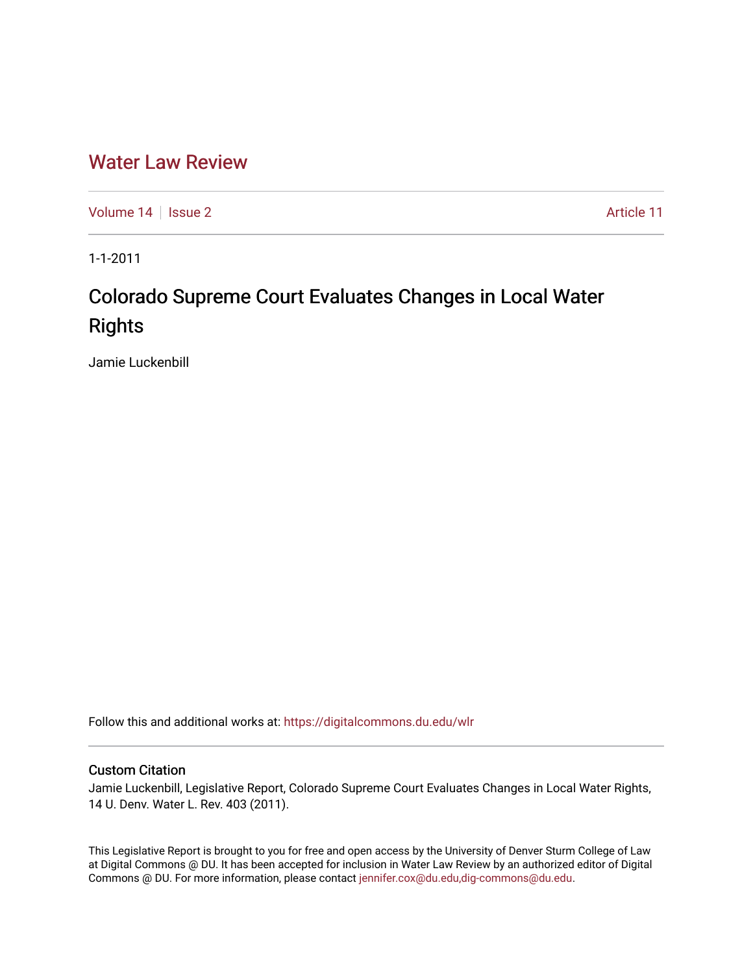## [Water Law Review](https://digitalcommons.du.edu/wlr)

[Volume 14](https://digitalcommons.du.edu/wlr/vol14) | [Issue 2](https://digitalcommons.du.edu/wlr/vol14/iss2) Article 11

1-1-2011

# Colorado Supreme Court Evaluates Changes in Local Water **Rights**

Jamie Luckenbill

Follow this and additional works at: [https://digitalcommons.du.edu/wlr](https://digitalcommons.du.edu/wlr?utm_source=digitalcommons.du.edu%2Fwlr%2Fvol14%2Fiss2%2F11&utm_medium=PDF&utm_campaign=PDFCoverPages) 

### Custom Citation

Jamie Luckenbill, Legislative Report, Colorado Supreme Court Evaluates Changes in Local Water Rights, 14 U. Denv. Water L. Rev. 403 (2011).

This Legislative Report is brought to you for free and open access by the University of Denver Sturm College of Law at Digital Commons @ DU. It has been accepted for inclusion in Water Law Review by an authorized editor of Digital Commons @ DU. For more information, please contact [jennifer.cox@du.edu,dig-commons@du.edu.](mailto:jennifer.cox@du.edu,dig-commons@du.edu)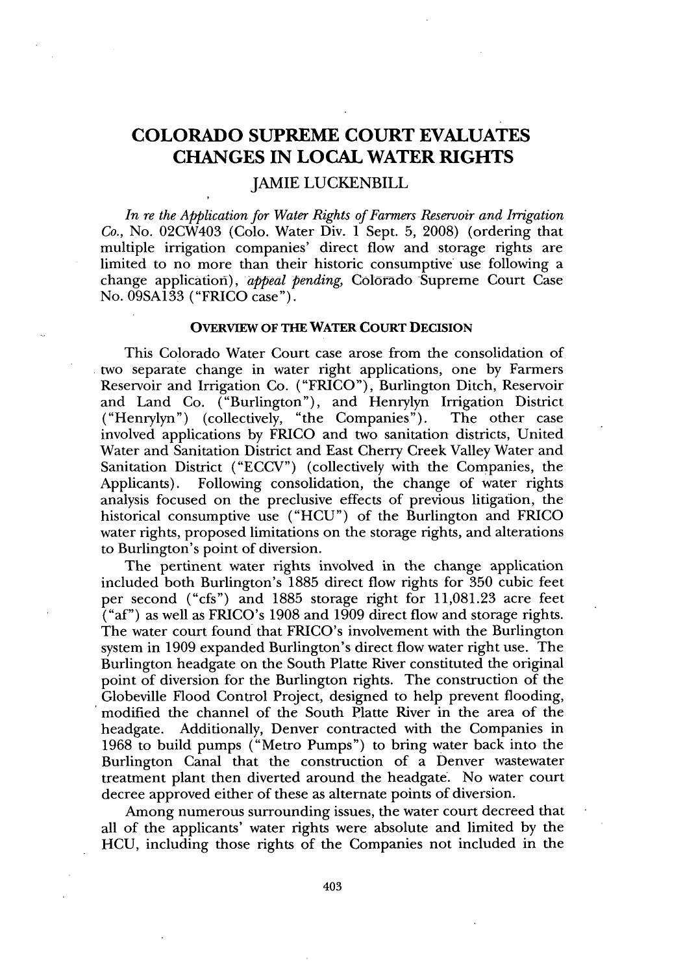### **COLORADO SUPREME COURT EVALUATES CHANGES IN LOCAL WATER RIGHTS**

### JAMIE LUCKENBILL

*In re the Application for Water Rights of Farmers Reservoir and Irrigation Co.,* No. 02CW403 (Colo. Water Div. 1 Sept. **5, 2008)** (ordering that multiple irrigation companies' direct flow and storage rights are limited to no more than their historic consumptive use following a change application), *appeal pending,* Colorado Supreme Court Case No. **09SA133** ("FRICO case").

#### **OVERVIEW OF THE WATER COURT DECISION**

This Colorado Water Court case arose from the consolidation of two separate change in water right applications, one **by** Farmers Reservoir and Irrigation Co. ("FRICO"), Burlington Ditch, Reservoir and Land Co. ("Burlington"), and Henrylyn Irrigation District ("Henrylyn") (collectively, "the Companies"). The other case involved applications **by** FRICO and two sanitation districts, United Water and Sanitation District and East Cherry Creek Valley Water and Sanitation District **("ECCV")** (collectively with the Companies, the Applicants). Following consolidation, the change of water rights analysis focused on the preclusive effects of previous litigation, the historical consumptive use **("HCU")** of the Burlington and FRICO water rights, proposed limitations on the storage rights, and alterations to Burlington's point of diversion.

The pertinent water rights involved in the change application included both Burlington's **1885** direct flow rights for **350** cubic feet per second ("cfs") and **1885** storage right for **11,081.23** acre feet ("af") as well as FRICO's **1908** and **1909** direct flow and storage rights. The water court found that FRICO's involvement with the Burlington system in **1909** expanded Burlington's direct flow water right use. The Burlington headgate on the South Platte River constituted the original point of diversion for the Burlington rights. The construction of the Globeville Flood Control Project, designed to help prevent flooding, modified the channel of the South Platte River in the area of the headgate. Additionally, Denver contracted with the Companies in **1968** to build pumps ("Metro Pumps") to bring water back into the Burlington Canal that the construction of a Denver wastewater treatment plant then diverted around the headgate. No water court decree approved either of these as alternate points of diversion.

Among numerous surrounding issues, the water court decreed that all of the applicants' water rights were absolute and limited **by** the **HCU,** including those rights of the Companies not included in the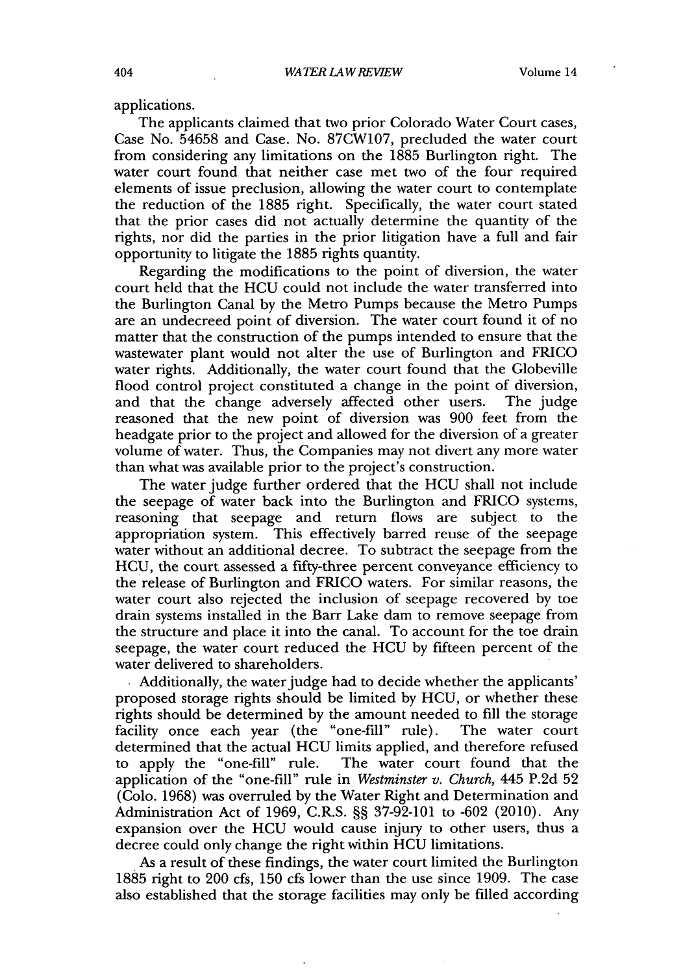applications.

The applicants claimed that two prior Colorado Water Court cases, Case No. **54658** and Case. No. **87CW107,** precluded the water court from considering any limitations on the **1885** Burlington right. The water court found that neither case met two of the four required elements of issue preclusion, allowing the water court to contemplate the reduction of the **1885** right. Specifically, the water court stated that the prior cases did not actually determine the quantity of the rights, nor did the parties in the prior litigation have a full and fair opportunity to litigate the **1885** rights quantity.

Regarding the modifications to the point of diversion, the water court held that the **HCU** could not include the water transferred into the Burlington Canal **by** the Metro Pumps because the Metro Pumps are an undecreed point of diversion. The water court found it of no matter that the construction of the pumps intended to ensure that the wastewater plant would not alter the use of Burlington and FRICO water rights. Additionally, the water court found that the Globeville flood control project constituted a change in the point of diversion, and that the change adversely affected other users. The judge and that the change adversely affected other users. reasoned that the new point of diversion was **900** feet from the headgate prior to the project and allowed for the diversion of a greater volume of water. Thus, the Companies may not divert any more water than what was available prior to the project's construction.

The water judge further ordered that the **HCU** shall not include the seepage of water back into the Burlington and FRICO **systems,** reasoning that seepage and return flows are subject to the appropriation system. This effectively barred reuse of the seepage water without an additional decree. To subtract the seepage from the **HCU,** the court assessed a fifty-three percent conveyance efficiency to the release of Burlington and FRICO waters. For similar reasons, the water court also rejected the inclusion of seepage recovered **by** toe drain systems installed in the Barr Lake dam to remove seepage from the structure and place it into the canal. To account for the toe drain seepage, the water court reduced the **HCU by** fifteen percent of the water delivered to shareholders.

**I** Additionally, the water judge had to decide whether the applicants' proposed storage rights should be limited **by HCU,** or whether these rights should be determined **by** the amount needed to **fill** the storage facility once each year (the "one-fill" rule). The water court determined that the actual **HCU** limits applied, and therefore refused to apply the "one-fill" rule. The water court found that the application of the "one-fill" rule in *Westminster v. Church,* 445 **P.2d 52** (Colo. **1968)** was overruled **by** the Water Right and Determination and Administration Act of **1969,** C.R.S. **§§ 37-92-101** to **-602** (2010). Any expansion over the **HCU** would cause injury to other users, thus a decree could only change the right within **HCU** limitations.

As a result of these findings, the water court limited the Burlington **1885** right to 200 cfs, **150** cfs lower than the use since **1909.** The case also established that the storage facilities may only be filled according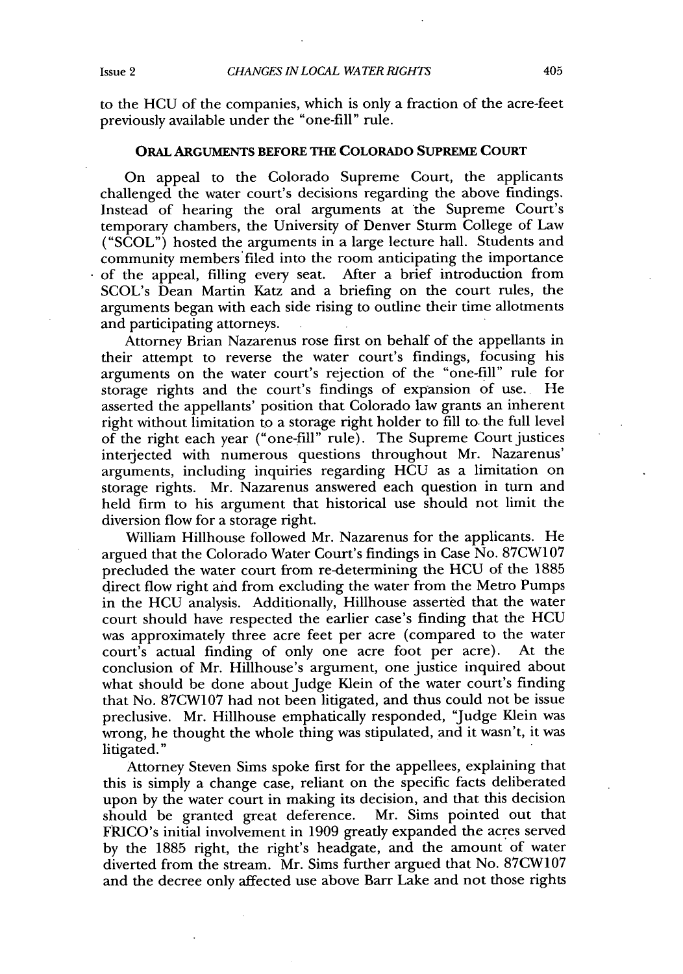to the **HCU** of the companies, which is only a fraction of the acre-feet previously available under the "one-fill" rule.

### ORAL **ARGUMENTS** BEFORE **THE COLORADO SUPREME COURT**

On appeal to the Colorado Supreme Court, the applicants challenged the water court's decisions regarding the above findings. Instead of hearing the oral arguments at the Supreme Court's temporary chambers, the University of Denver Sturm College of Law **("SCOL")** hosted the arguments in a large lecture hall. Students and community members filed into the room anticipating the importance of the appeal, filling every seat. After a brief introduction from SCOL's Dean Martin Katz and a briefing on the court rules, the arguments began with each side rising to outline their time allotments and participating attorneys.

Attorney Brian Nazarenus rose first on behalf of the appellants in their attempt to reverse the water court's findings, focusing his arguments on the water court's rejection of the "one-fill" rule for storage rights and the court's findings of expansion of use. He asserted the appellants' position that Colorado law grants an inherent right without limitation to a storage right holder to **fill** to. the full level of the right each year ("one-fill" rule). The Supreme Court justices interjected with numerous questions throughout Mr. Nazarenus' arguments, including inquiries regarding **HCU** as a limitation on storage rights. Mr. Nazarenus answered each question in turn and held firm to his argument that historical use should not limit the diversion flow for a storage right.

William Hillhouse followed Mr. Nazarenus for the applicants. He argued that the Colorado Water Court's findings in Case No. **87CW107** precluded the water court from re-determining the **HCU** of the **1885** direct flow right and from excluding the water from the Metro Pumps in the **HCU** analysis. Additionally, Hillhouse asserted that the water court should have respected the earlier case's finding that the **HCU** was approximately three acre feet per acre (compared to the water court's actual finding of only one acre foot per acre). At the conclusion of Mr. Hillhouse's argument, one justice inquired about what should be done about Judge Klein of the water court's finding that No. **87CW107** had not been litigated, and thus could not be issue preclusive. Mr. Hillhouse emphatically responded, "Judge Klein was wrong, he thought the whole thing was stipulated, and it wasn't, it was litigated."

Attorney Steven Sims spoke first for the appellees, explaining that this is simply a change case, reliant on the specific facts deliberated upon **by** the water court in making its decision, and that this decision should be granted great deference. FRICO's initial involvement in **1909** greatly expanded the acres served **by** the **1885** right, the right's headgate, and the amount of water diverted from the stream. Mr. Sims further argued that No. **87CW107** and the decree only affected use above Barr Lake and not those rights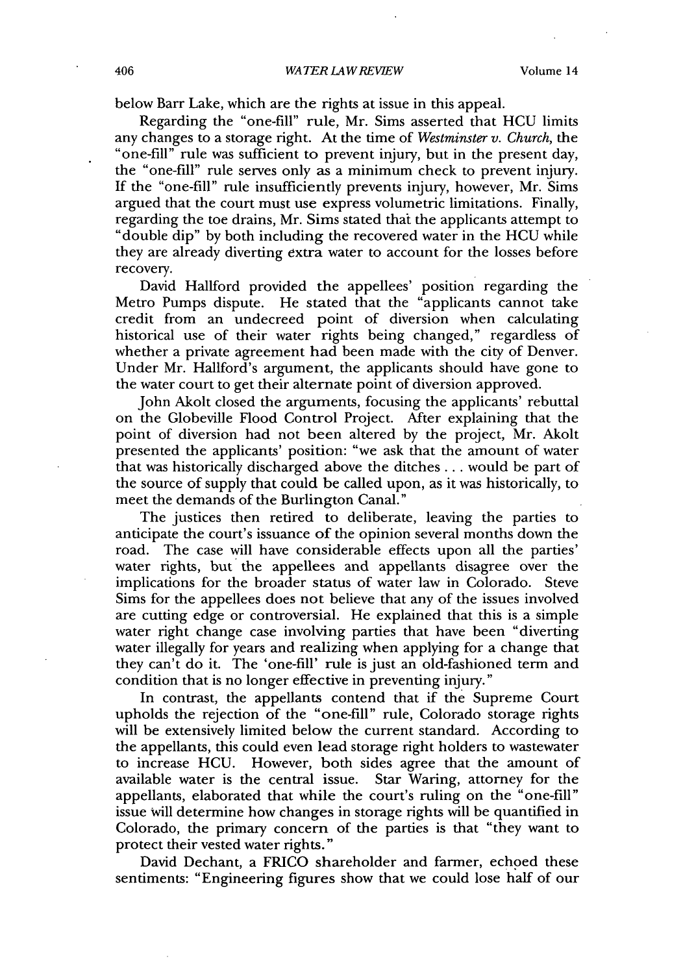below Barr Lake, which are the rights at issue in this appeal.

Regarding the "one-fill" rule, Mr. Sims asserted that **HCU** limits any changes to a storage right. At the time of *Westminster v. Church,* the "one-fill" rule was sufficient to prevent injury, but in the present day, the "one-fill" rule serves only as a minimum check to prevent injury. **If** the "one-fill" rule insufficiently prevents injury, however, Mr. Sims argued that the court must use express volumetric limitations. Finally, regarding the toe drains, Mr. Sims stated that the applicants attempt to "double dip" **by** both including the recovered water in the **HCU** while they are already diverting extra water to account for the losses before recovery.

David Hallford provided the appellees' position regarding the Metro Pumps dispute. He stated that the "applicants cannot take credit from an undecreed point of diversion when calculating historical use of their water rights being changed," regardless of whether a private agreement had been made with the city of Denver. Under Mr. Hallford's argument, the applicants should have gone to the water court to get their alternate point of diversion approved.

John Akolt closed the arguments, focusing the applicants' rebuttal on the Globeville Flood Control Project. After explaining that the point of diversion had not been altered **by** the project, Mr. Akolt presented the applicants' position: "we ask that the amount of water that was historically discharged above the ditches **...** would be part of the source of supply that could be called upon, as it was historically, to meet the demands of the Burlington Canal."

The justices then retired to deliberate, leaving the parties to anticipate the court's issuance of the opinion several months down the road. The case will have considerable effects upon all the parties' water rights, but the appellees and appellants disagree over the implications for the broader status of water law in Colorado. Steve Sims for the appellees does not believe that any of the issues involved are cutting edge or controversial. He explained that this is a simple water right change case involving parties that have been "diverting water illegally for years and realizing when applying for a change that they can't do it. The 'one-fill' rule is just an old-fashioned term and condition that is no longer effective in preventing injury."

In contrast, the appellants contend that if the Supreme Court upholds the rejection of the "one-fill" rule, Colorado storage rights will be extensively limited below the current standard. According to the appellants, this could even lead storage right holders to wastewater to increase **HCU.** However, both sides agree that the amount of available water is the central issue. Star Waring, attorney for the appellants, elaborated that while the court's ruling on the "one-fill" issue will determine how changes in storage rights will be quantified in Colorado, the primary concern of the parties is that "they want to protect their vested water rights."

David Dechant, a FRICO shareholder and farmer, echoed these sentiments: "Engineering figures show that we could lose half of our